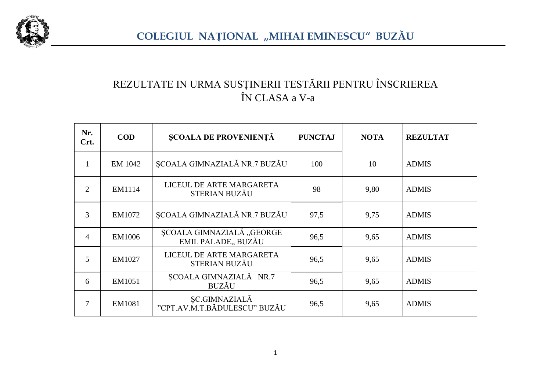

## REZULTATE IN URMA SUSȚINERII TESTĂRII PENTRU ÎNSCRIEREA ÎN CLASA a V-a

| Nr.<br>Crt.    | <b>COD</b>    | <b>ȘCOALA DE PROVENIENȚĂ</b>                         | <b>PUNCTAJ</b> | <b>NOTA</b> | <b>REZULTAT</b> |
|----------------|---------------|------------------------------------------------------|----------------|-------------|-----------------|
| 1              | EM 1042       | ȘCOALA GIMNAZIALĂ NR.7 BUZĂU                         | 100            | 10          | <b>ADMIS</b>    |
| $\overline{2}$ | EM1114        | LICEUL DE ARTE MARGARETA<br>STERIAN BUZĂU            | 98             | 9,80        | <b>ADMIS</b>    |
| 3              | EM1072        | ȘCOALA GIMNAZIALĂ NR.7 BUZĂU                         | 97,5           | 9,75        | <b>ADMIS</b>    |
| 4              | <b>EM1006</b> | ȘCOALA GIMNAZIALĂ "GEORGE<br>EMIL PALADE, BUZĂU      | 96,5           | 9,65        | <b>ADMIS</b>    |
| 5              | EM1027        | LICEUL DE ARTE MARGARETA<br>STERIAN BUZĂU            | 96,5           | 9,65        | <b>ADMIS</b>    |
| 6              | EM1051        | ȘCOALA GIMNAZIALĂ NR.7<br><b>BUZĂU</b>               | 96,5           | 9,65        | <b>ADMIS</b>    |
| 7              | EM1081        | <b>SC.GIMNAZIALĂ</b><br>"CPT.AV.M.T.BĂDULESCU" BUZĂU | 96,5           | 9,65        | <b>ADMIS</b>    |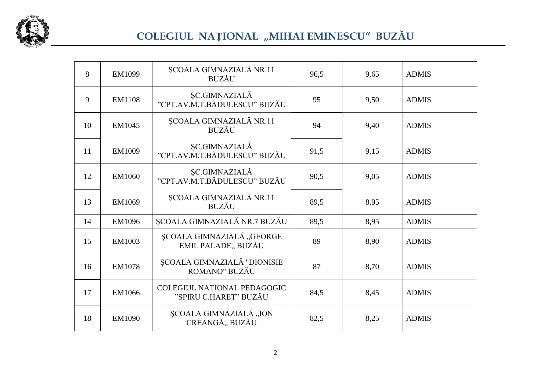

## COLEGIUL NAȚIONAL "MIHAI EMINESCU" BUZĂU

| 8  | EM1099        | SCOALA GIMNAZIALĂ NR.11<br><b>BUZĂU</b>              | 96,5 | 9,65 | <b>ADMIS</b> |
|----|---------------|------------------------------------------------------|------|------|--------------|
| 9  | <b>EM1108</b> | ŞC.GIMNAZIALĂ<br>"CPT.AV.M.T.BĂDULESCU" BUZĂU        | 95   | 9,50 | <b>ADMIS</b> |
| 10 | EM1045        | ȘCOALA GIMNAZIALĂ NR.11<br><b>BUZĂU</b>              | 94   | 9,40 | <b>ADMIS</b> |
| 11 | EM1009        | ŞC.GIMNAZIALĂ<br>"CPT.AV.M.T.BĂDULESCU" BUZĂU        | 91,5 | 9,15 | <b>ADMIS</b> |
| 12 | EM1060        | <b>ŞC.GIMNAZIALĂ</b><br>"CPT.AV.M.T.BĂDULESCU" BUZĂU | 90,5 | 9,05 | <b>ADMIS</b> |
| 13 | EM1069        | ȘCOALA GIMNAZIALĂ NR.11<br><b>BUZĂU</b>              | 89,5 | 8,95 | <b>ADMIS</b> |
| 14 | EM1096        | <b>SCOALA GIMNAZIALĂ NR.7 BUZĂU</b>                  | 89,5 | 8,95 | <b>ADMIS</b> |
| 15 | EM1003        | ȘCOALA GIMNAZIALĂ "GEORGE<br>EMIL PALADE,, BUZĂU     | 89   | 8,90 | <b>ADMIS</b> |
| 16 | <b>EM1078</b> | ȘCOALA GIMNAZIALĂ "DIONISIE<br>ROMANO" BUZĂU         | 87   | 8,70 | <b>ADMIS</b> |
| 17 | EM1066        | COLEGIUL NAȚIONAL PEDAGOGIC<br>"SPIRU C.HARET" BUZĂU | 84,5 | 8,45 | <b>ADMIS</b> |
| 18 | <b>EM1090</b> | ȘCOALA GIMNAZIALĂ "ION<br>CREANGĂ,, BUZĂU            | 82,5 | 8,25 | <b>ADMIS</b> |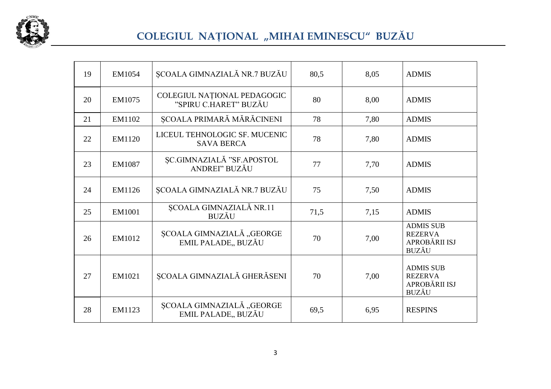

## COLEGIUL NAȚIONAL "MIHAI EMINESCU" BUZĂU

| 19 | EM1054        | ȘCOALA GIMNAZIALĂ NR.7 BUZĂU                         | 80,5 | 8,05 | <b>ADMIS</b>                                                        |
|----|---------------|------------------------------------------------------|------|------|---------------------------------------------------------------------|
| 20 | EM1075        | COLEGIUL NAȚIONAL PEDAGOGIC<br>"SPIRU C.HARET" BUZĂU | 80   | 8,00 | <b>ADMIS</b>                                                        |
| 21 | EM1102        | ȘCOALA PRIMARĂ MĂRĂCINENI                            | 78   | 7,80 | <b>ADMIS</b>                                                        |
| 22 | EM1120        | LICEUL TEHNOLOGIC SF. MUCENIC<br><b>SAVA BERCA</b>   | 78   | 7,80 | <b>ADMIS</b>                                                        |
| 23 | <b>EM1087</b> | ȘC.GIMNAZIALĂ "SF.APOSTOL<br>ANDREI" BUZĂU           | 77   | 7,70 | <b>ADMIS</b>                                                        |
| 24 | EM1126        | ȘCOALA GIMNAZIALĂ NR.7 BUZĂU                         | 75   | 7,50 | <b>ADMIS</b>                                                        |
| 25 | EM1001        | ȘCOALA GIMNAZIALĂ NR.11<br><b>BUZĂU</b>              | 71,5 | 7,15 | <b>ADMIS</b>                                                        |
| 26 | EM1012        | ȘCOALA GIMNAZIALĂ "GEORGE<br>EMIL PALADE,, BUZĂU     | 70   | 7,00 | <b>ADMIS SUB</b><br><b>REZERVA</b><br>APROBĂRII ISJ<br><b>BUZĂU</b> |
| 27 | EM1021        | ȘCOALA GIMNAZIALĂ GHERĂSENI                          | 70   | 7,00 | <b>ADMIS SUB</b><br><b>REZERVA</b><br>APROBĂRII ISJ<br><b>BUZĂU</b> |
| 28 | EM1123        | ȘCOALA GIMNAZIALĂ "GEORGE<br>EMIL PALADE,, BUZĂU     | 69,5 | 6,95 | <b>RESPINS</b>                                                      |